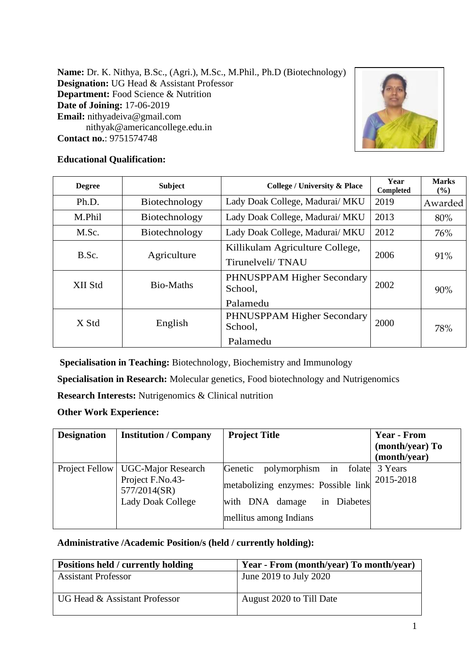**Name:** Dr. K. Nithya, B.Sc., (Agri.), M.Sc., M.Phil., Ph.D (Biotechnology) **Designation:** UG Head & Assistant Professor **Department:** Food Science & Nutrition **Date of Joining:** 17-06-2019 **Email:** [nithyadeiva@gmail.com](mailto:nithyadeiva@gmail.com) [nithyak@americancollege.edu.in](mailto:nithyak@americancollege.edu.in) **Contact no.**: 9751574748



# **Educational Qualification:**

| <b>Degree</b> | <b>Subject</b> | <b>College / University &amp; Place</b>             | Year<br>Completed | <b>Marks</b><br>$\frac{6}{6}$ |
|---------------|----------------|-----------------------------------------------------|-------------------|-------------------------------|
| Ph.D.         | Biotechnology  | Lady Doak College, Madurai/ MKU                     | 2019              | Awarded                       |
| M.Phil        | Biotechnology  | Lady Doak College, Madurai/ MKU                     | 2013              | 80%                           |
| M.Sc.         | Biotechnology  | Lady Doak College, Madurai/ MKU                     | 2012              | 76%                           |
| B.Sc.         | Agriculture    | Killikulam Agriculture College,<br>Tirunelveli/TNAU | 2006              | 91%                           |
| XII Std       | Bio-Maths      | PHNUSPPAM Higher Secondary<br>School,<br>Palamedu   | 2002              | 90%                           |
| X Std         | English        | PHNUSPPAM Higher Secondary<br>School,<br>Palamedu   | 2000              | 78%                           |

**Specialisation in Teaching:** Biotechnology, Biochemistry and Immunology

**Specialisation in Research:** Molecular genetics, Food biotechnology and Nutrigenomics

**Research Interests:** Nutrigenomics & Clinical nutrition

**Other Work Experience:**

| <b>Designation</b> | <b>Institution / Company</b>                                                                        | <b>Project Title</b>                                                                                                                         | <b>Year - From</b><br>(month/year) To<br>(month/year) |
|--------------------|-----------------------------------------------------------------------------------------------------|----------------------------------------------------------------------------------------------------------------------------------------------|-------------------------------------------------------|
|                    | Project Fellow   UGC-Major Research<br>Project F.No.43-<br>577/2014(SR)<br><b>Lady Doak College</b> | polymorphism in folate 3 Years<br>Genetic<br>metabolizing enzymes: Possible link<br>with DNA damage<br>in Diabetes<br>mellitus among Indians | 2015-2018                                             |

## **Administrative /Academic Position/s (held / currently holding):**

| Positions held / currently holding | Year - From (month/year) To month/year) |
|------------------------------------|-----------------------------------------|
| <b>Assistant Professor</b>         | June 2019 to July 2020                  |
| UG Head & Assistant Professor      | August 2020 to Till Date                |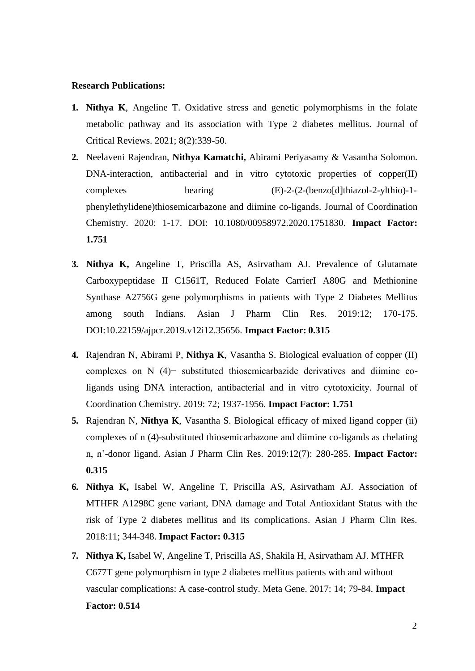#### **Research Publications:**

- **1. Nithya K**, Angeline T. Oxidative stress and genetic polymorphisms in the folate metabolic pathway and its association with Type 2 diabetes mellitus. Journal of Critical Reviews. 2021; 8(2):339-50.
- **2.** Neelaveni Rajendran, **Nithya Kamatchi,** Abirami Periyasamy & Vasantha Solomon. DNA-interaction, antibacterial and in vitro cytotoxic properties of copper(II) complexes bearing (E)-2-(2-(benzo[d]thiazol-2-ylthio)-1 phenylethylidene)thiosemicarbazone and diimine co-ligands. Journal of Coordination Chemistry. 2020: 1-17. DOI: 10.1080/00958972.2020.1751830. **Impact Factor: 1.751**
- **3. Nithya K,** Angeline T, Priscilla AS, Asirvatham AJ. Prevalence of Glutamate Carboxypeptidase II C1561T, Reduced Folate CarrierI A80G and Methionine Synthase A2756G gene polymorphisms in patients with Type 2 Diabetes Mellitus among south Indians. Asian J Pharm Clin Res. 2019:12; 170-175. DOI:10.22159/ajpcr.2019.v12i12.35656. **Impact Factor: 0.315**
- **4.** Rajendran N, Abirami P, **Nithya K**, Vasantha S. Biological evaluation of copper (II) complexes on N (4)− substituted thiosemicarbazide derivatives and diimine coligands using DNA interaction, antibacterial and in vitro cytotoxicity. Journal of Coordination Chemistry. 2019: 72; 1937-1956. **Impact Factor: 1.751**
- **5.** Rajendran N, **Nithya K**, Vasantha S. Biological efficacy of mixed ligand copper (ii) complexes of n (4)-substituted thiosemicarbazone and diimine co-ligands as chelating n, n'-donor ligand. Asian J Pharm Clin Res. 2019:12(7): 280-285. **Impact Factor: 0.315**
- **6. Nithya K,** Isabel W, Angeline T, Priscilla AS, Asirvatham AJ. Association of MTHFR A1298C gene variant, DNA damage and Total Antioxidant Status with the risk of Type 2 diabetes mellitus and its complications. Asian J Pharm Clin Res. 2018:11; 344-348. **Impact Factor: 0.315**
- **7. Nithya K,** Isabel W, Angeline T, Priscilla AS, Shakila H, Asirvatham AJ. MTHFR C677T gene polymorphism in type 2 diabetes mellitus patients with and without vascular complications: A case-control study. Meta Gene. 2017: 14; 79-84. **Impact Factor: 0.514**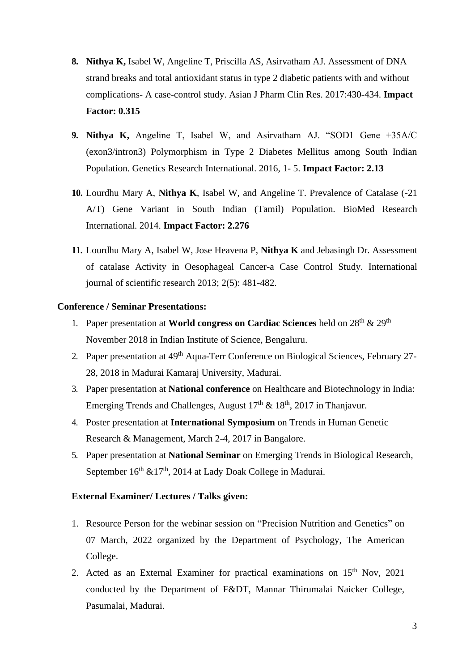- **8. Nithya K,** Isabel W, Angeline T, Priscilla AS, Asirvatham AJ. Assessment of DNA strand breaks and total antioxidant status in type 2 diabetic patients with and without complications- A case-control study. Asian J Pharm Clin Res. 2017:430-434. **Impact Factor: 0.315**
- **9. Nithya K,** Angeline T, Isabel W, and Asirvatham AJ. "SOD1 Gene +35A/C (exon3/intron3) Polymorphism in Type 2 Diabetes Mellitus among South Indian Population. Genetics Research International. 2016, 1- 5. **Impact Factor: 2.13**
- **10.** Lourdhu Mary A, **Nithya K**, Isabel W, and Angeline T. Prevalence of Catalase (-21 A/T) Gene Variant in South Indian (Tamil) Population. BioMed Research International. 2014. **Impact Factor: 2.276**
- **11.** Lourdhu Mary A, Isabel W, Jose Heavena P, **Nithya K** and Jebasingh Dr. Assessment of catalase Activity in Oesophageal Cancer-a Case Control Study. International journal of scientific research 2013; 2(5): 481-482.

### **Conference / Seminar Presentations:**

- 1. Paper presentation at **World congress on Cardiac Sciences** held on 28th & 29th November 2018 in Indian Institute of Science, Bengaluru.
- 2. Paper presentation at 49<sup>th</sup> Aqua-Terr Conference on Biological Sciences, February 27-28, 2018 in Madurai Kamaraj University, Madurai.
- 3. Paper presentation at **National conference** on Healthcare and Biotechnology in India: Emerging Trends and Challenges, August  $17<sup>th</sup> \& 18<sup>th</sup>$ , 2017 in Thanjavur.
- 4. Poster presentation at **International Symposium** on Trends in Human Genetic Research & Management, March 2-4, 2017 in Bangalore.
- 5. Paper presentation at **National Seminar** on Emerging Trends in Biological Research, September  $16<sup>th</sup> \& 17<sup>th</sup>$ , 2014 at Lady Doak College in Madurai.

## **External Examiner/ Lectures / Talks given:**

- 1. Resource Person for the webinar session on "Precision Nutrition and Genetics" on 07 March, 2022 organized by the Department of Psychology, The American College.
- 2. Acted as an External Examiner for practical examinations on 15<sup>th</sup> Nov, 2021 conducted by the Department of F&DT, Mannar Thirumalai Naicker College, Pasumalai, Madurai.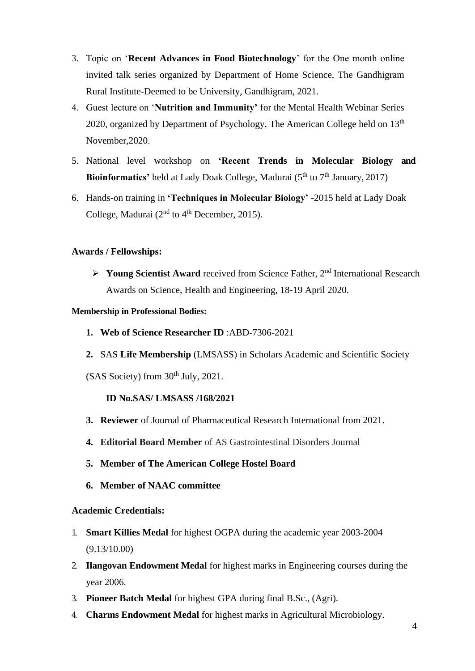- 3. Topic on '**Recent Advances in Food Biotechnology**' for the One month online invited talk series organized by Department of Home Science, The Gandhigram Rural Institute-Deemed to be University, Gandhigram, 2021.
- 4. Guest lecture on '**Nutrition and Immunity'** for the Mental Health Webinar Series 2020, organized by Department of Psychology, The American College held on  $13<sup>th</sup>$ November,2020.
- 5. National level workshop on **'Recent Trends in Molecular Biology and Bioinformatics'** held at Lady Doak College, Madurai (5<sup>th</sup> to 7<sup>th</sup> January, 2017)
- 6. Hands-on training in **'Techniques in Molecular Biology'** -2015 held at Lady Doak College, Madurai ( $2<sup>nd</sup>$  to  $4<sup>th</sup>$  December, 2015).

## **Awards / Fellowships:**

➢ **Young Scientist Award** received from Science Father, 2nd International Research Awards on Science, Health and Engineering, 18-19 April 2020.

### **Membership in Professional Bodies:**

- **1. Web of Science Researcher ID** [:ABD-7306-2021](https://publons.com/researcher/ABD-7306-2021/)
- **2.** SAS **Life Membership** (LMSASS) in Scholars Academic and Scientific Society
- $(SAS Society)$  from  $30<sup>th</sup> July, 2021$ .

### **ID No.SAS/ LMSASS /168/2021**

- **3. Reviewer** of Journal of Pharmaceutical Research International from 2021.
- **4. Editorial Board Member** of AS Gastrointestinal Disorders Journal
- **5. Member of The American College Hostel Board**
- **6. Member of NAAC committee**

### **Academic Credentials:**

- 1. **Smart Killies Medal** for highest OGPA during the academic year 2003-2004 (9.13/10.00)
- 2. **Ilangovan Endowment Medal** for highest marks in Engineering courses during the year 2006.
- 3. **Pioneer Batch Medal** for highest GPA during final B.Sc., (Agri).
- 4. **Charms Endowment Medal** for highest marks in Agricultural Microbiology.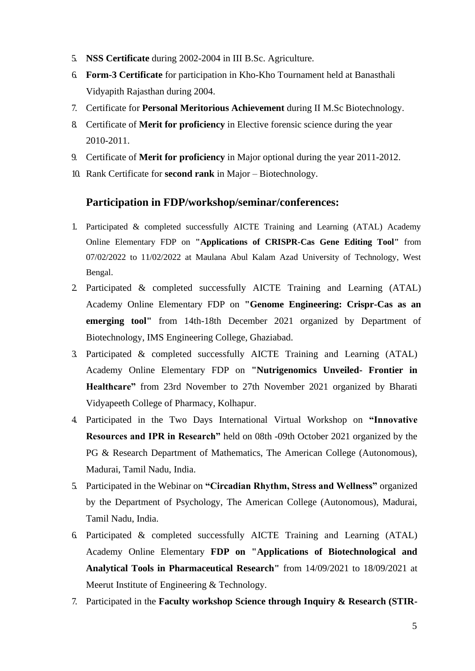- 5. **NSS Certificate** during 2002-2004 in III B.Sc. Agriculture.
- 6. **Form-3 Certificate** for participation in Kho-Kho Tournament held at Banasthali Vidyapith Rajasthan during 2004.
- 7. Certificate for **Personal Meritorious Achievement** during II M.Sc Biotechnology.
- 8. Certificate of **Merit for proficiency** in Elective forensic science during the year 2010-2011.
- 9. Certificate of **Merit for proficiency** in Major optional during the year 2011-2012.
- 10. Rank Certificate for **second rank** in Major Biotechnology.

## **Participation in FDP/workshop/seminar/conferences:**

- 1. Participated & completed successfully AICTE Training and Learning (ATAL) Academy Online Elementary FDP on **"Applications of CRISPR-Cas Gene Editing Tool"** from 07/02/2022 to 11/02/2022 at Maulana Abul Kalam Azad University of Technology, West Bengal.
- 2. Participated & completed successfully AICTE Training and Learning (ATAL) Academy Online Elementary FDP on **"Genome Engineering: Crispr-Cas as an emerging tool"** from 14th-18th December 2021 organized by Department of Biotechnology, IMS Engineering College, Ghaziabad.
- 3. Participated & completed successfully AICTE Training and Learning (ATAL) Academy Online Elementary FDP on **"Nutrigenomics Unveiled- Frontier in Healthcare"** from 23rd November to 27th November 2021 organized by Bharati Vidyapeeth College of Pharmacy, Kolhapur.
- 4. Participated in the Two Days International Virtual Workshop on **"Innovative Resources and IPR in Research"** held on 08th -09th October 2021 organized by the PG & Research Department of Mathematics, The American College (Autonomous), Madurai, Tamil Nadu, India.
- 5. Participated in the Webinar on **"Circadian Rhythm, Stress and Wellness"** organized by the Department of Psychology, The American College (Autonomous), Madurai, Tamil Nadu, India.
- 6. Participated & completed successfully AICTE Training and Learning (ATAL) Academy Online Elementary **FDP on "Applications of Biotechnological and Analytical Tools in Pharmaceutical Research"** from 14/09/2021 to 18/09/2021 at Meerut Institute of Engineering & Technology.
- 7. Participated in the **Faculty workshop Science through Inquiry & Research (STIR-**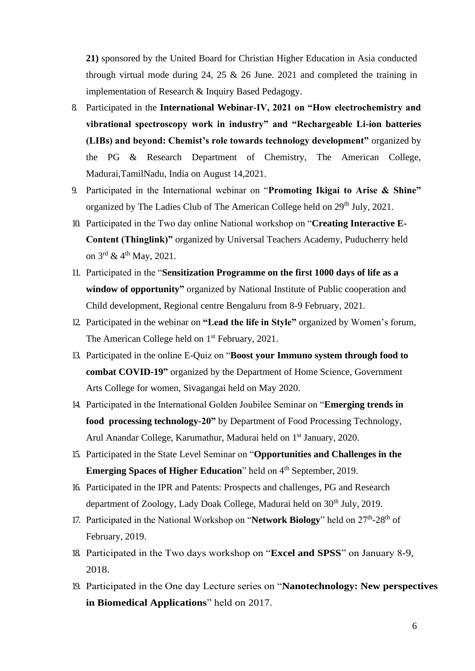**21)** sponsored by the United Board for Christian Higher Education in Asia conducted through virtual mode during 24, 25  $\&$  26 June. 2021 and completed the training in implementation of Research & Inquiry Based Pedagogy.

- 8. Participated in the **International Webinar-IV, 2021 on "How electrochemistry and vibrational spectroscopy work in industry" and "Rechargeable Li-ion batteries (LIBs) and beyond: Chemist's role towards technology development"** organized by the PG & Research Department of Chemistry, The American College, Madurai,TamilNadu, India on August 14,2021.
- 9. Participated in the International webinar on "**Promoting Ikigai to Arise & Shine"** organized by The Ladies Club of The American College held on 29<sup>th</sup> July, 2021.
- 10. Participated in the Two day online National workshop on "**Creating Interactive E-Content (Thinglink)"** organized by Universal Teachers Academy, Puducherry held on 3<sup>rd</sup> & 4<sup>th</sup> May, 2021.
- 11. Participated in the "**Sensitization Programme on the first 1000 days of life as a window of opportunity"** organized by National Institute of Public cooperation and Child development, Regional centre Bengaluru from 8-9 February, 2021.
- 12. Participated in the webinar on **"Lead the life in Style"** organized by Women's forum, The American College held on 1<sup>st</sup> February, 2021.
- 13. Participated in the online E-Quiz on "**Boost your Immuno system through food to combat COVID-19"** organized by the Department of Home Science, Government Arts College for women, Sivagangai held on May 2020.
- 14. Participated in the International Golden Joubilee Seminar on "**Emerging trends in food processing technology-20"** by Department of Food Processing Technology, Arul Anandar College, Karumathur, Madurai held on 1<sup>st</sup> January, 2020.
- 15. Participated in the State Level Seminar on "**Opportunities and Challenges in the Emerging Spaces of Higher Education**" held on 4<sup>th</sup> September, 2019.
- 16. Participated in the IPR and Patents: Prospects and challenges, PG and Research department of Zoology, Lady Doak College, Madurai held on 30<sup>th</sup> July, 2019.
- 17. Participated in the National Workshop on "Network Biology" held on 27<sup>th</sup>-28<sup>th</sup> of February, 2019.
- 18. Participated in the Two days workshop on "**Excel and SPSS**" on January 8-9, 2018.
- 19. Participated in the One day Lecture series on "**Nanotechnology: New perspectives in Biomedical Applications**" held on 2017.